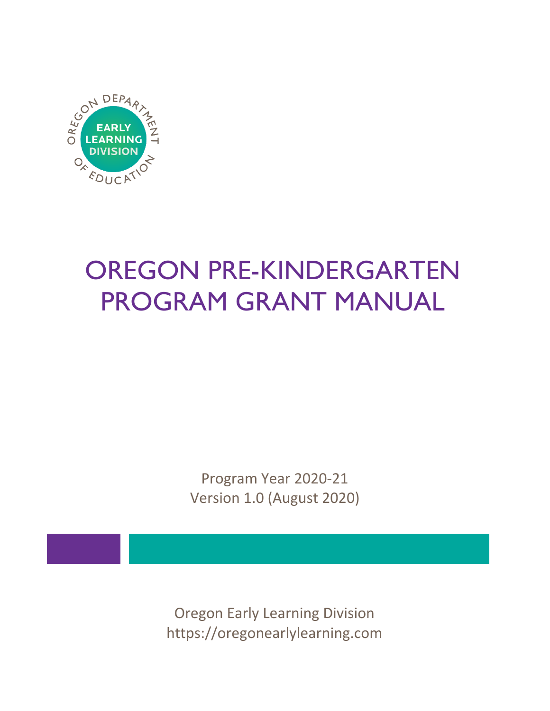

# OREGON PRE-KINDERGARTEN PROGRAM GRANT MANUAL

Program Year 2020-21 Version 1.0 (August 2020)

Oregon Early Learning Division https://oregonearlylearning.com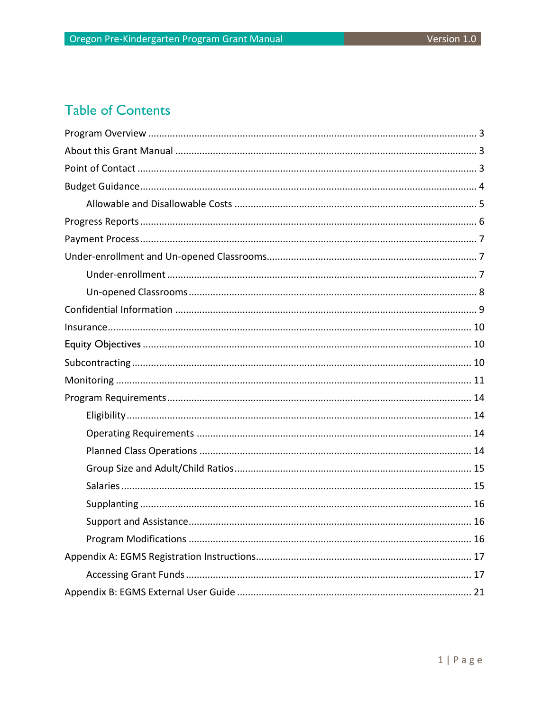## **Table of Contents**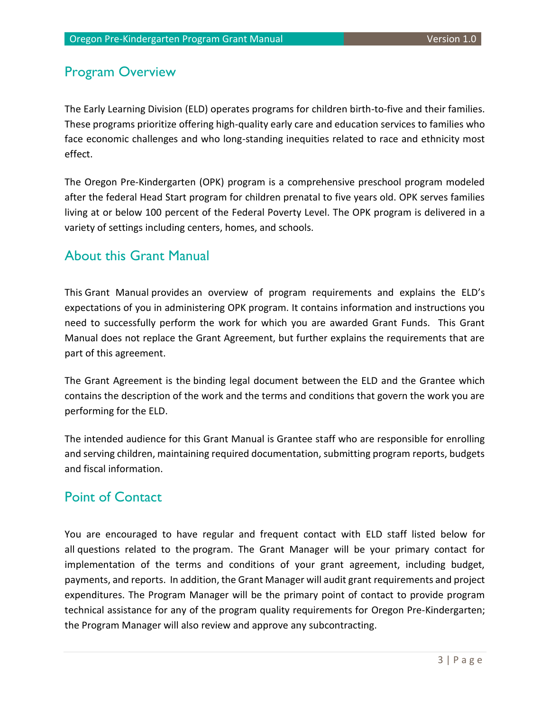### <span id="page-3-0"></span>Program Overview

The Early Learning Division (ELD) operates programs for children birth-to-five and their families. These programs prioritize offering high-quality early care and education services to families who face economic challenges and who long-standing inequities related to race and ethnicity most effect.

The Oregon Pre-Kindergarten (OPK) program is a comprehensive preschool program modeled after the federal Head Start program for children prenatal to five years old. OPK serves families living at or below 100 percent of the Federal Poverty Level. The OPK program is delivered in a variety of settings including centers, homes, and schools.

### <span id="page-3-1"></span>About this Grant Manual

This Grant Manual provides an overview of program requirements and explains the ELD's expectations of you in administering OPK program. It contains information and instructions you need to successfully perform the work for which you are awarded Grant Funds. This Grant Manual does not replace the Grant Agreement, but further explains the requirements that are part of this agreement.

The Grant Agreement is the binding legal document between the ELD and the Grantee which contains the description of the work and the terms and conditions that govern the work you are performing for the ELD.

The intended audience for this Grant Manual is Grantee staff who are responsible for enrolling and serving children, maintaining required documentation, submitting program reports, budgets and fiscal information.

### <span id="page-3-2"></span>Point of Contact

You are encouraged to have regular and frequent contact with ELD staff listed below for all questions related to the program. The Grant Manager will be your primary contact for implementation of the terms and conditions of your grant agreement, including budget, payments, and reports. In addition, the Grant Manager will audit grant requirements and project expenditures. The Program Manager will be the primary point of contact to provide program technical assistance for any of the program quality requirements for Oregon Pre-Kindergarten; the Program Manager will also review and approve any subcontracting.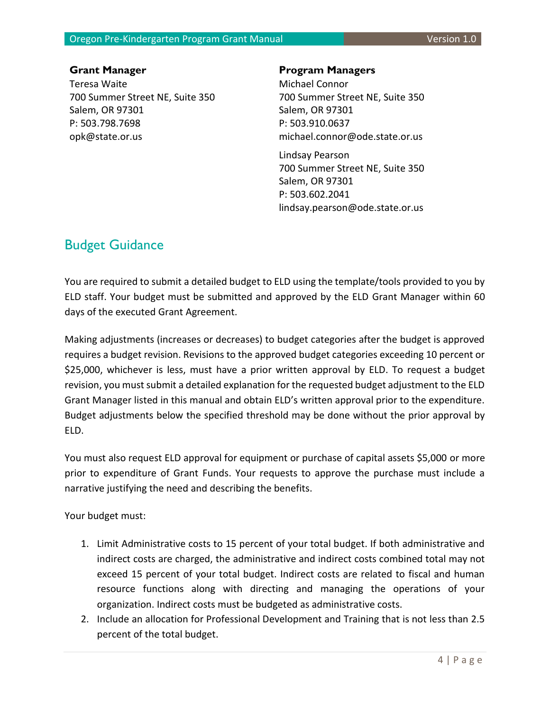#### Oregon Pre-Kindergarten Program Grant Manual Version 1.0

Teresa Waite 700 Summer Street NE, Suite 350 Salem, OR 97301 P: 503.798.7698 opk@state.or.us

#### **Grant Manager Program Managers**

Michael Connor 700 Summer Street NE, Suite 350 Salem, OR 97301 P: 503.910.0637 michael.connor@ode.state.or.us

Lindsay Pearson 700 Summer Street NE, Suite 350 Salem, OR 97301 P: 503.602.2041 lindsay.pearson@ode.state.or.us

### <span id="page-4-0"></span>Budget Guidance

You are required to submit a detailed budget to ELD using the template/tools provided to you by ELD staff. Your budget must be submitted and approved by the ELD Grant Manager within 60 days of the executed Grant Agreement.

Making adjustments (increases or decreases) to budget categories after the budget is approved requires a budget revision. Revisions to the approved budget categories exceeding 10 percent or \$25,000, whichever is less, must have a prior written approval by ELD. To request a budget revision, you must submit a detailed explanation for the requested budget adjustment to the ELD Grant Manager listed in this manual and obtain ELD's written approval prior to the expenditure. Budget adjustments below the specified threshold may be done without the prior approval by ELD.

You must also request ELD approval for equipment or purchase of capital assets \$5,000 or more prior to expenditure of Grant Funds. Your requests to approve the purchase must include a narrative justifying the need and describing the benefits.

Your budget must:

- 1. Limit Administrative costs to 15 percent of your total budget. If both administrative and indirect costs are charged, the administrative and indirect costs combined total may not exceed 15 percent of your total budget. Indirect costs are related to fiscal and human resource functions along with directing and managing the operations of your organization. Indirect costs must be budgeted as administrative costs.
- 2. Include an allocation for Professional Development and Training that is not less than 2.5 percent of the total budget.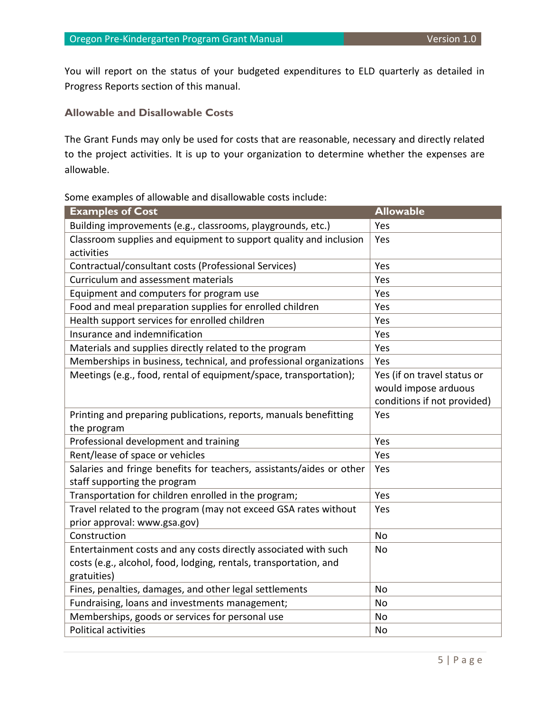You will report on the status of your budgeted expenditures to ELD quarterly as detailed in Progress Reports section of this manual.

#### <span id="page-5-0"></span>**Allowable and Disallowable Costs**

The Grant Funds may only be used for costs that are reasonable, necessary and directly related to the project activities. It is up to your organization to determine whether the expenses are allowable.

#### Some examples of allowable and disallowable costs include:

| <b>Examples of Cost</b>                                              | <b>Allowable</b>            |
|----------------------------------------------------------------------|-----------------------------|
| Building improvements (e.g., classrooms, playgrounds, etc.)          | Yes                         |
| Classroom supplies and equipment to support quality and inclusion    | Yes                         |
| activities                                                           |                             |
| Contractual/consultant costs (Professional Services)                 | Yes                         |
| Curriculum and assessment materials                                  | Yes                         |
| Equipment and computers for program use                              | Yes                         |
| Food and meal preparation supplies for enrolled children             | Yes                         |
| Health support services for enrolled children                        | Yes                         |
| Insurance and indemnification                                        | Yes                         |
| Materials and supplies directly related to the program               | Yes                         |
| Memberships in business, technical, and professional organizations   | Yes                         |
| Meetings (e.g., food, rental of equipment/space, transportation);    | Yes (if on travel status or |
|                                                                      | would impose arduous        |
|                                                                      | conditions if not provided) |
| Printing and preparing publications, reports, manuals benefitting    | Yes                         |
| the program                                                          |                             |
| Professional development and training                                | Yes                         |
| Rent/lease of space or vehicles                                      | Yes                         |
| Salaries and fringe benefits for teachers, assistants/aides or other | Yes                         |
| staff supporting the program                                         |                             |
| Transportation for children enrolled in the program;                 | Yes                         |
| Travel related to the program (may not exceed GSA rates without      | Yes                         |
| prior approval: www.gsa.gov)                                         |                             |
| Construction                                                         | No                          |
| Entertainment costs and any costs directly associated with such      | <b>No</b>                   |
| costs (e.g., alcohol, food, lodging, rentals, transportation, and    |                             |
| gratuities)                                                          |                             |
| Fines, penalties, damages, and other legal settlements               | No                          |
| Fundraising, loans and investments management;                       | No                          |
| Memberships, goods or services for personal use                      | No                          |
| <b>Political activities</b>                                          | No                          |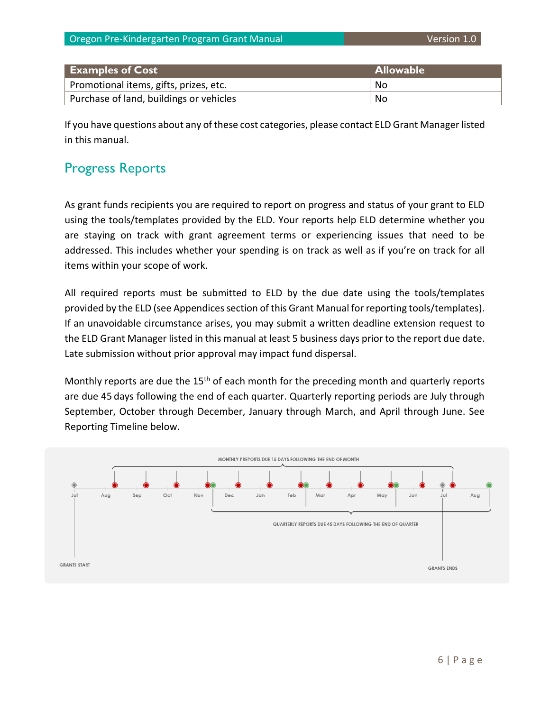| <b>Examples of Cost</b>                 | <b>Allowable</b> |
|-----------------------------------------|------------------|
| Promotional items, gifts, prizes, etc.  | No               |
| Purchase of land, buildings or vehicles | No               |

If you have questions about any of these cost categories, please contact ELD Grant Manager listed in this manual.

### <span id="page-6-0"></span>Progress Reports

As grant funds recipients you are required to report on progress and status of your grant to ELD using the tools/templates provided by the ELD. Your reports help ELD determine whether you are staying on track with grant agreement terms or experiencing issues that need to be addressed. This includes whether your spending is on track as well as if you're on track for all items within your scope of work.

All required reports must be submitted to ELD by the due date using the tools/templates provided by the ELD (see Appendices section of this Grant Manual for reporting tools/templates). If an unavoidable circumstance arises, you may submit a written deadline extension request to the ELD Grant Manager listed in this manual at least 5 business days prior to the report due date. Late submission without prior approval may impact fund dispersal.

Monthly reports are due the 15<sup>th</sup> of each month for the preceding month and quarterly reports are due 45 days following the end of each quarter. Quarterly reporting periods are July through September, October through December, January through March, and April through June. See Reporting Timeline below.

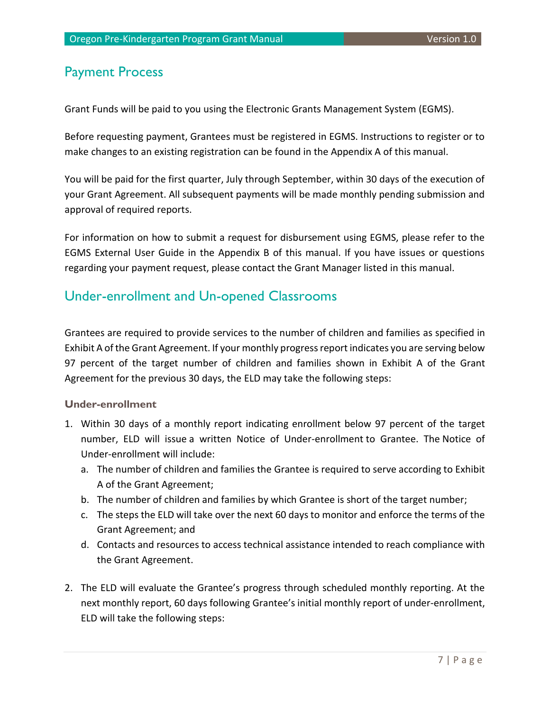### <span id="page-7-0"></span>Payment Process

Grant Funds will be paid to you using the Electronic Grants Management System (EGMS).

Before requesting payment, Grantees must be registered in EGMS. Instructions to register or to make changes to an existing registration can be found in the Appendix A of this manual.

You will be paid for the first quarter, July through September, within 30 days of the execution of your Grant Agreement. All subsequent payments will be made monthly pending submission and approval of required reports.

For information on how to submit a request for disbursement using EGMS, please refer to the EGMS External User Guide in the Appendix B of this manual. If you have issues or questions regarding your payment request, please contact the Grant Manager listed in this manual.

### <span id="page-7-1"></span>Under-enrollment and Un-opened Classrooms

Grantees are required to provide services to the number of children and families as specified in Exhibit A of the Grant Agreement. If your monthly progress report indicates you are serving below 97 percent of the target number of children and families shown in Exhibit A of the Grant Agreement for the previous 30 days, the ELD may take the following steps:

#### <span id="page-7-2"></span>**Under-enrollment**

- 1. Within 30 days of a monthly report indicating enrollment below 97 percent of the target number, ELD will issue a written Notice of Under-enrollment to Grantee. The Notice of Under-enrollment will include:
	- a. The number of children and families the Grantee is required to serve according to Exhibit A of the Grant Agreement;
	- b. The number of children and families by which Grantee is short of the target number;
	- c. The steps the ELD will take over the next 60 days to monitor and enforce the terms of the Grant Agreement; and
	- d. Contacts and resources to access technical assistance intended to reach compliance with the Grant Agreement.
- 2. The ELD will evaluate the Grantee's progress through scheduled monthly reporting. At the next monthly report, 60 days following Grantee's initial monthly report of under-enrollment, ELD will take the following steps: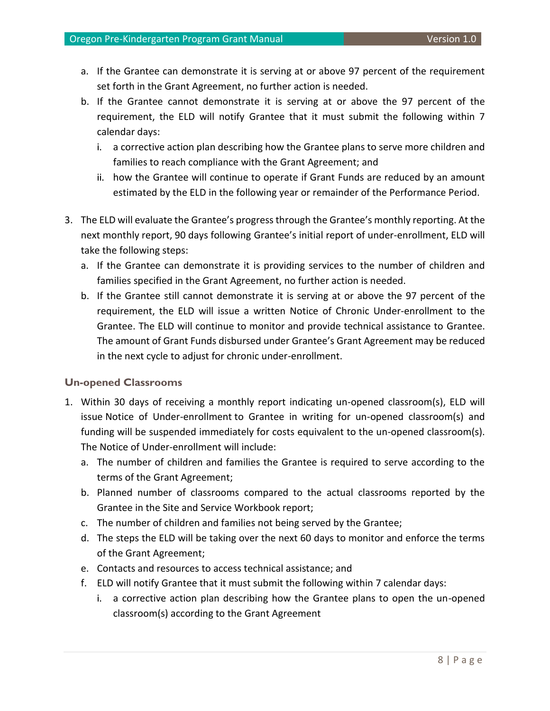- a. If the Grantee can demonstrate it is serving at or above 97 percent of the requirement set forth in the Grant Agreement, no further action is needed.
- b. If the Grantee cannot demonstrate it is serving at or above the 97 percent of the requirement, the ELD will notify Grantee that it must submit the following within 7 calendar days:
	- i. a corrective action plan describing how the Grantee plans to serve more children and families to reach compliance with the Grant Agreement; and
	- ii. how the Grantee will continue to operate if Grant Funds are reduced by an amount estimated by the ELD in the following year or remainder of the Performance Period.
- 3. The ELD will evaluate the Grantee's progress through the Grantee's monthly reporting. At the next monthly report, 90 days following Grantee's initial report of under-enrollment, ELD will take the following steps:
	- a. If the Grantee can demonstrate it is providing services to the number of children and families specified in the Grant Agreement, no further action is needed.
	- b. If the Grantee still cannot demonstrate it is serving at or above the 97 percent of the requirement, the ELD will issue a written Notice of Chronic Under-enrollment to the Grantee. The ELD will continue to monitor and provide technical assistance to Grantee. The amount of Grant Funds disbursed under Grantee's Grant Agreement may be reduced in the next cycle to adjust for chronic under-enrollment.

#### <span id="page-8-0"></span>**Un-opened Classrooms**

- 1. Within 30 days of receiving a monthly report indicating un-opened classroom(s), ELD will issue Notice of Under-enrollment to Grantee in writing for un-opened classroom(s) and funding will be suspended immediately for costs equivalent to the un-opened classroom(s). The Notice of Under-enrollment will include:
	- a. The number of children and families the Grantee is required to serve according to the terms of the Grant Agreement;
	- b. Planned number of classrooms compared to the actual classrooms reported by the Grantee in the Site and Service Workbook report;
	- c. The number of children and families not being served by the Grantee;
	- d. The steps the ELD will be taking over the next 60 days to monitor and enforce the terms of the Grant Agreement;
	- e. Contacts and resources to access technical assistance; and
	- f. ELD will notify Grantee that it must submit the following within 7 calendar days:
		- i. a corrective action plan describing how the Grantee plans to open the un-opened classroom(s) according to the Grant Agreement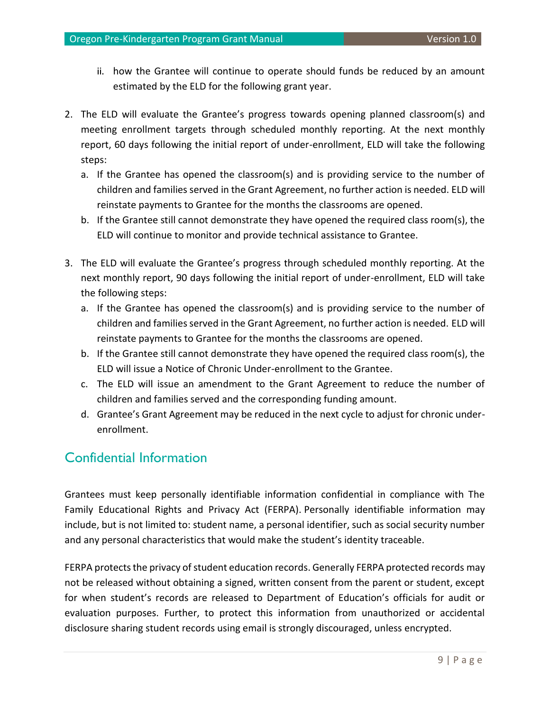- ii. how the Grantee will continue to operate should funds be reduced by an amount estimated by the ELD for the following grant year.
- 2. The ELD will evaluate the Grantee's progress towards opening planned classroom(s) and meeting enrollment targets through scheduled monthly reporting. At the next monthly report, 60 days following the initial report of under-enrollment, ELD will take the following steps:
	- a. If the Grantee has opened the classroom(s) and is providing service to the number of children and families served in the Grant Agreement, no further action is needed. ELD will reinstate payments to Grantee for the months the classrooms are opened.
	- b. If the Grantee still cannot demonstrate they have opened the required class room(s), the ELD will continue to monitor and provide technical assistance to Grantee.
- 3. The ELD will evaluate the Grantee's progress through scheduled monthly reporting. At the next monthly report, 90 days following the initial report of under-enrollment, ELD will take the following steps:
	- a. If the Grantee has opened the classroom(s) and is providing service to the number of children and families served in the Grant Agreement, no further action is needed. ELD will reinstate payments to Grantee for the months the classrooms are opened.
	- b. If the Grantee still cannot demonstrate they have opened the required class room(s), the ELD will issue a Notice of Chronic Under-enrollment to the Grantee.
	- c. The ELD will issue an amendment to the Grant Agreement to reduce the number of children and families served and the corresponding funding amount.
	- d. Grantee's Grant Agreement may be reduced in the next cycle to adjust for chronic underenrollment.

### <span id="page-9-0"></span>Confidential Information

Grantees must keep personally identifiable information confidential in compliance with The Family Educational Rights and Privacy Act (FERPA). Personally identifiable information may include, but is not limited to: student name, a personal identifier, such as social security number and any personal characteristics that would make the student's identity traceable.

FERPA protects the privacy of student education records. Generally FERPA protected records may not be released without obtaining a signed, written consent from the parent or student, except for when student's records are released to Department of Education's officials for audit or evaluation purposes. Further, to protect this information from unauthorized or accidental disclosure sharing student records using email is strongly discouraged, unless encrypted.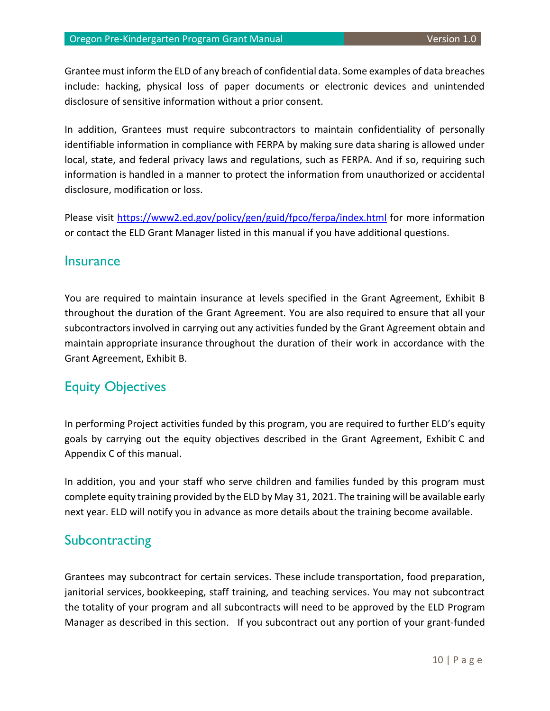Grantee must inform the ELD of any breach of confidential data. Some examples of data breaches include: hacking, physical loss of paper documents or electronic devices and unintended disclosure of sensitive information without a prior consent.

In addition, Grantees must require subcontractors to maintain confidentiality of personally identifiable information in compliance with FERPA by making sure data sharing is allowed under local, state, and federal privacy laws and regulations, such as FERPA. And if so, requiring such information is handled in a manner to protect the information from unauthorized or accidental disclosure, modification or loss.

Please visit<https://www2.ed.gov/policy/gen/guid/fpco/ferpa/index.html> for more information or contact the ELD Grant Manager listed in this manual if you have additional questions.

### <span id="page-10-0"></span>**Insurance**

You are required to maintain insurance at levels specified in the Grant Agreement, Exhibit B throughout the duration of the Grant Agreement. You are also required to ensure that all your subcontractors involved in carrying out any activities funded by the Grant Agreement obtain and maintain appropriate insurance throughout the duration of their work in accordance with the Grant Agreement, Exhibit B.

### <span id="page-10-1"></span>Equity Objectives

In performing Project activities funded by this program, you are required to further ELD's equity goals by carrying out the equity objectives described in the Grant Agreement, Exhibit C and Appendix C of this manual.

In addition, you and your staff who serve children and families funded by this program must complete equity training provided by the ELD by May 31, 2021. The training will be available early next year. ELD will notify you in advance as more details about the training become available.

### <span id="page-10-2"></span>**Subcontracting**

Grantees may subcontract for certain services. These include transportation, food preparation, janitorial services, bookkeeping, staff training, and teaching services. You may not subcontract the totality of your program and all subcontracts will need to be approved by the ELD Program Manager as described in this section. If you subcontract out any portion of your grant-funded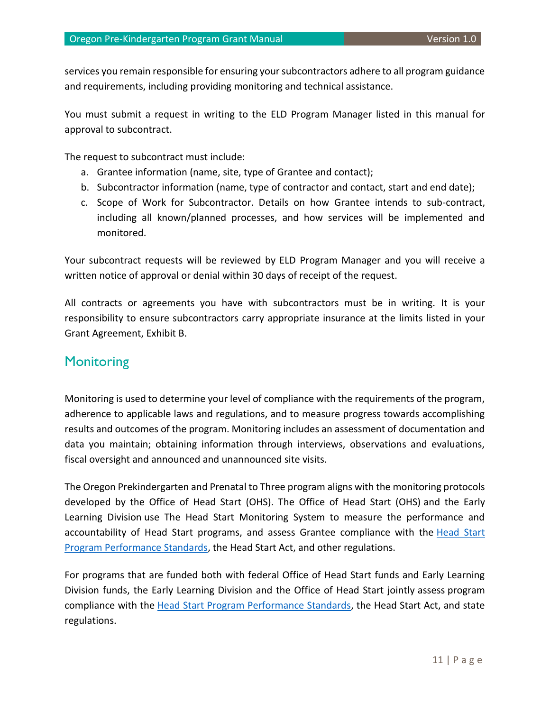services you remain responsible for ensuring your subcontractors adhere to all program guidance and requirements, including providing monitoring and technical assistance.

You must submit a request in writing to the ELD Program Manager listed in this manual for approval to subcontract.

The request to subcontract must include:

- a. Grantee information (name, site, type of Grantee and contact);
- b. Subcontractor information (name, type of contractor and contact, start and end date);
- c. Scope of Work for Subcontractor. Details on how Grantee intends to sub-contract, including all known/planned processes, and how services will be implemented and monitored.

Your subcontract requests will be reviewed by ELD Program Manager and you will receive a written notice of approval or denial within 30 days of receipt of the request.

All contracts or agreements you have with subcontractors must be in writing. It is your responsibility to ensure subcontractors carry appropriate insurance at the limits listed in your Grant Agreement, Exhibit B.

### <span id="page-11-0"></span>**Monitoring**

Monitoring is used to determine your level of compliance with the requirements of the program, adherence to applicable laws and regulations, and to measure progress towards accomplishing results and outcomes of the program. Monitoring includes an assessment of documentation and data you maintain; obtaining information through interviews, observations and evaluations, fiscal oversight and announced and unannounced site visits.

The Oregon Prekindergarten and Prenatal to Three program aligns with the monitoring protocols developed by the Office of Head Start (OHS). The Office of Head Start (OHS) and the Early Learning Division use The Head Start Monitoring System to measure the performance and accountability of [Head Start](https://eclkc.ohs.acf.hhs.gov/policy/45-cfr-chap-xiii) programs, and assess Grantee compliance with the Head Start [Program Performance Standards,](https://eclkc.ohs.acf.hhs.gov/policy/45-cfr-chap-xiii) the Head Start Act, and other regulations.

For programs that are funded both with federal Office of Head Start funds and Early Learning Division funds, the Early Learning Division and the Office of Head Start jointly assess program compliance with the [Head Start Program Performance Standards,](https://eclkc.ohs.acf.hhs.gov/policy/45-cfr-chap-xiii) the Head Start Act, and state regulations.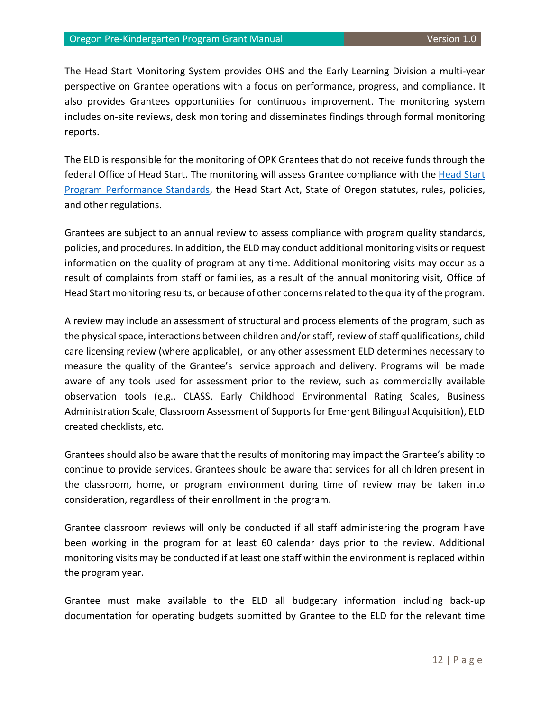The Head Start Monitoring System provides OHS and the Early Learning Division a multi-year perspective on Grantee operations with a focus on performance, progress, and compliance. It also provides Grantees opportunities for continuous improvement. The monitoring system includes on-site reviews, desk monitoring and disseminates findings through formal monitoring reports.

The ELD is responsible for the monitoring of OPK Grantees that do not receive funds through the federal Office of Head Start. The monitoring will assess Grantee compliance with the [Head Start](https://eclkc.ohs.acf.hhs.gov/policy/45-cfr-chap-xiii)  [Program Performance Standards,](https://eclkc.ohs.acf.hhs.gov/policy/45-cfr-chap-xiii) the Head Start Act, State of Oregon statutes, rules, policies, and other regulations.

Grantees are subject to an annual review to assess compliance with program quality standards, policies, and procedures. In addition, the ELD may conduct additional monitoring visits or request information on the quality of program at any time. Additional monitoring visits may occur as a result of complaints from staff or families, as a result of the annual monitoring visit, Office of Head Start monitoring results, or because of other concerns related to the quality of the program.

A review may include an assessment of structural and process elements of the program, such as the physical space, interactions between children and/or staff, review of staff qualifications, child care licensing review (where applicable), or any other assessment ELD determines necessary to measure the quality of the Grantee's service approach and delivery. Programs will be made aware of any tools used for assessment prior to the review, such as commercially available observation tools (e.g., CLASS, Early Childhood Environmental Rating Scales, Business Administration Scale, Classroom Assessment of Supports for Emergent Bilingual Acquisition), ELD created checklists, etc.

Grantees should also be aware that the results of monitoring may impact the Grantee's ability to continue to provide services. Grantees should be aware that services for all children present in the classroom, home, or program environment during time of review may be taken into consideration, regardless of their enrollment in the program.

Grantee classroom reviews will only be conducted if all staff administering the program have been working in the program for at least 60 calendar days prior to the review. Additional monitoring visits may be conducted if at least one staff within the environment is replaced within the program year.

Grantee must make available to the ELD all budgetary information including back-up documentation for operating budgets submitted by Grantee to the ELD for the relevant time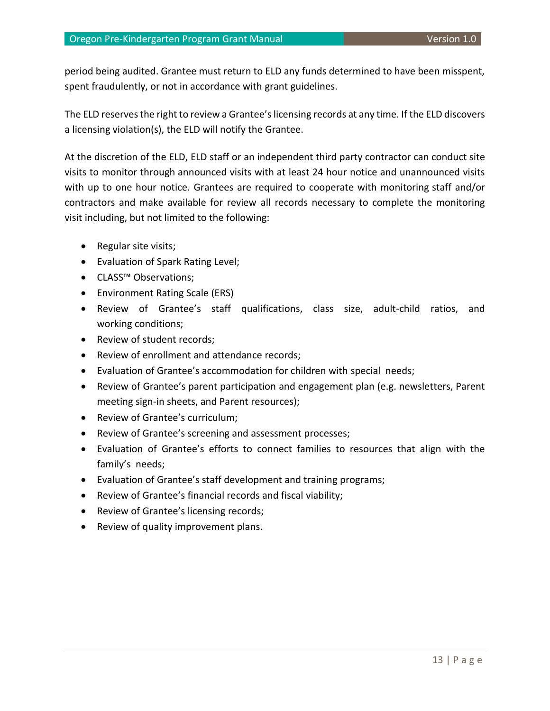period being audited. Grantee must return to ELD any funds determined to have been misspent, spent fraudulently, or not in accordance with grant guidelines.

The ELD reserves the right to review a Grantee's licensing records at any time. If the ELD discovers a licensing violation(s), the ELD will notify the Grantee.

At the discretion of the ELD, ELD staff or an independent third party contractor can conduct site visits to monitor through announced visits with at least 24 hour notice and unannounced visits with up to one hour notice. Grantees are required to cooperate with monitoring staff and/or contractors and make available for review all records necessary to complete the monitoring visit including, but not limited to the following:

- Regular site visits;
- Evaluation of Spark Rating Level;
- CLASS™ Observations;
- Environment Rating Scale (ERS)
- Review of Grantee's staff qualifications, class size, adult-child ratios, and working conditions;
- Review of student records;
- Review of enrollment and attendance records;
- Evaluation of Grantee's accommodation for children with special needs;
- Review of Grantee's parent participation and engagement plan (e.g. newsletters, Parent meeting sign-in sheets, and Parent resources);
- Review of Grantee's curriculum;
- Review of Grantee's screening and assessment processes;
- Evaluation of Grantee's efforts to connect families to resources that align with the family's needs;
- Evaluation of Grantee's staff development and training programs;
- Review of Grantee's financial records and fiscal viability;
- Review of Grantee's licensing records;
- Review of quality improvement plans.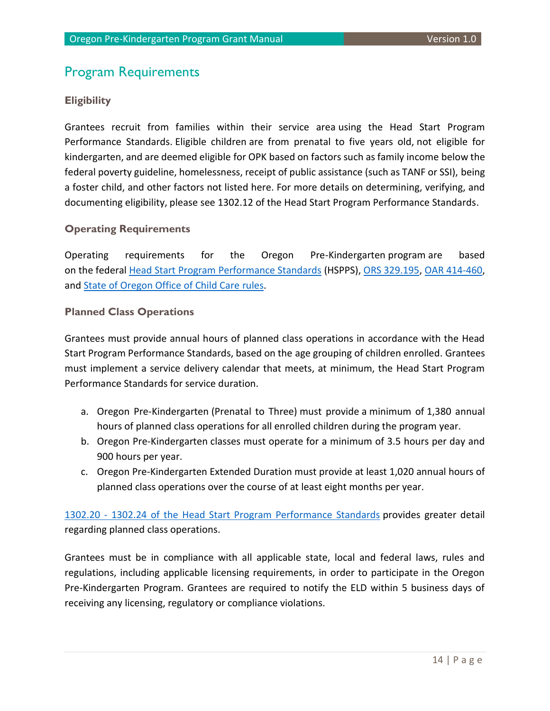### <span id="page-14-0"></span>Program Requirements

#### <span id="page-14-1"></span>**Eligibility**

Grantees recruit from families within their service area using the Head Start Program Performance Standards. Eligible children are from prenatal to five years old, not eligible for kindergarten, and are deemed eligible for OPK based on factors such as family income below the federal poverty guideline, homelessness, receipt of public assistance (such as TANF or SSI), being a foster child, and other factors not listed here. For more details on determining, verifying, and documenting eligibility, please see [1302.12 of the Head Start Program Performance Standards.](https://eclkc.ohs.acf.hhs.gov/policy/45-cfr-chap-xiii/1302-12-determining-verifying-documenting-eligibility)

#### <span id="page-14-2"></span>**Operating Requirements**

Operating requirements for the Oregon Pre-Kindergarten program are based on the federal [Head Start Program Performance Standards](https://eclkc.ohs.acf.hhs.gov/policy/45-cfr-chap-xiii) (HSPPS), ORS [329.195,](https://www.oregonlegislature.gov/bills_laws/ors/ors329.html) OAR [414-460,](https://secure.sos.state.or.us/oard/displayDivisionRules.action?selectedDivision=5782) and [State of Oregon Office of Child Care](https://oregonearlylearning.com/childcare-rules/) rules.

#### <span id="page-14-3"></span>**Planned Class Operations**

Grantees must provide annual hours of planned class operations in accordance with the Head Start Program Performance Standards, based on the age grouping of children enrolled. Grantees must implement a service delivery calendar that meets, at minimum, the Head Start Program Performance Standards for service duration.

- a. Oregon Pre-Kindergarten (Prenatal to Three) must provide a minimum of 1,380 annual hours of planned class operations for all enrolled children during the program year.
- b. Oregon Pre-Kindergarten classes must operate for a minimum of 3.5 hours per day and 900 hours per year.
- c. Oregon Pre-Kindergarten Extended Duration must provide at least 1,020 annual hours of planned class operations over the course of at least eight months per year.

1302.20 - [1302.24 of the Head Start Program Performance Standards](https://eclkc.ohs.acf.hhs.gov/policy/45-cfr-chap-xiii/1302-subpart-b-program-structure) provides greater detail regarding planned class operations.

Grantees must be in compliance with all applicable state, local and federal laws, rules and regulations, including applicable licensing requirements, in order to participate in the Oregon Pre-Kindergarten Program. Grantees are required to notify the ELD within 5 business days of receiving any licensing, regulatory or compliance violations.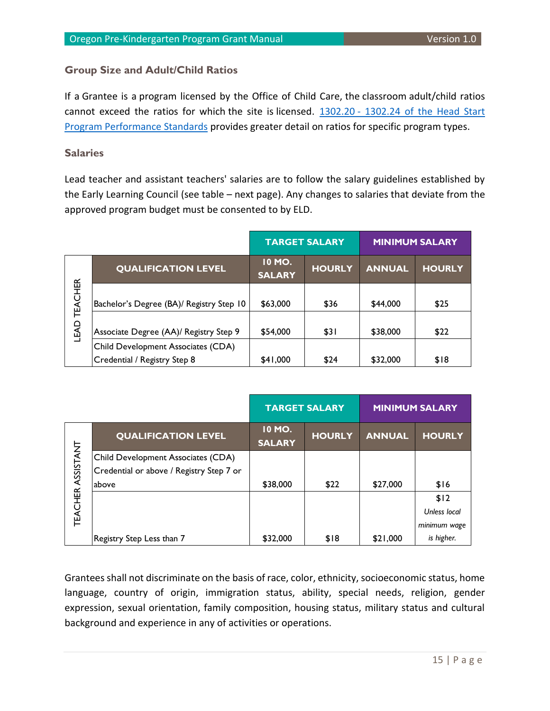#### <span id="page-15-0"></span>**Group Size and Adult/Child Ratios**

If a Grantee is a program licensed by the Office of Child Care, the classroom adult/child ratios cannot exceed the ratios for which the site is licensed. 1302.20 - 1302.24 of the Head Start [Program Performance Standards](https://eclkc.ohs.acf.hhs.gov/policy/45-cfr-chap-xiii/1302-subpart-b-program-structure) provides greater detail on ratios for specific program types.

#### <span id="page-15-1"></span>**Salaries**

Lead teacher and assistant teachers' salaries are to follow the salary guidelines established by the Early Learning Council (see table – next page). Any changes to salaries that deviate from the approved program budget must be consented to by ELD.

|                |                                          | <b>TARGET SALARY</b>    |               |               | <b>MINIMUM SALARY</b> |
|----------------|------------------------------------------|-------------------------|---------------|---------------|-----------------------|
|                | <b>QUALIFICATION LEVEL</b>               | 10 MO.<br><b>SALARY</b> | <b>HOURLY</b> | <b>ANNUAL</b> | <b>HOURLY</b>         |
| <b>TEACHER</b> | Bachelor's Degree (BA)/ Registry Step 10 | \$63,000                | \$36          | \$44,000      | \$25                  |
| LEAD           | Associate Degree (AA)/ Registry Step 9   | \$54,000                | \$31          | \$38,000      | \$22                  |
|                | Child Development Associates (CDA)       |                         |               |               |                       |
|                | Credential / Registry Step 8             | \$41,000                | \$24          | \$32,000      | \$18                  |

| <b>LEAD TEACHER</b>      | Bachelor's Degree (BA)/ Registry Step 10 | \$63,000                       | \$36                 | \$44,000      | \$25                  |
|--------------------------|------------------------------------------|--------------------------------|----------------------|---------------|-----------------------|
|                          | Associate Degree (AA)/ Registry Step 9   | \$54,000                       | \$31                 | \$38,000      | \$22                  |
|                          | Child Development Associates (CDA)       |                                |                      |               |                       |
|                          | Credential / Registry Step 8             | \$41,000                       | \$24                 | \$32,000      | \$18                  |
|                          |                                          |                                |                      |               |                       |
|                          |                                          |                                |                      |               |                       |
|                          |                                          |                                | <b>TARGET SALARY</b> |               | <b>MINIMUM SALARY</b> |
|                          | <b>QUALIFICATION LEVEL</b>               | <b>10 MO.</b><br><b>SALARY</b> | <b>HOURLY</b>        | <b>ANNUAL</b> | <b>HOURLY</b>         |
|                          | Child Development Associates (CDA)       |                                |                      |               |                       |
|                          | Credential or above / Registry Step 7 or |                                |                      |               |                       |
|                          | above                                    | \$38,000                       | \$22                 | \$27,000      | \$16                  |
|                          |                                          |                                |                      |               | \$12                  |
|                          |                                          |                                |                      |               | <b>Unless local</b>   |
| <b>TEACHER ASSISTANT</b> |                                          |                                |                      |               | minimum wage          |

Grantees shall not discriminate on the basis of race, color, ethnicity, socioeconomic status, home language, country of origin, immigration status, ability, special needs, religion, gender expression, sexual orientation, family composition, housing status, military status and cultural background and experience in any of activities or operations.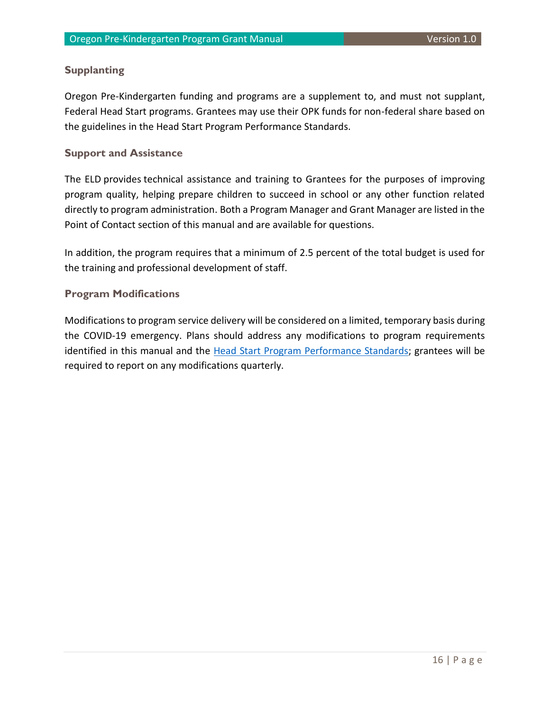#### <span id="page-16-0"></span>**Supplanting**

Oregon Pre-Kindergarten funding and programs are a supplement to, and must not supplant, Federal Head Start programs. Grantees may use their OPK funds for non-federal share based on the guidelines in the Head Start Program Performance Standards.

#### <span id="page-16-1"></span>**Support and Assistance**

The ELD provides technical assistance and training to Grantees for the purposes of improving program quality, helping prepare children to succeed in school or any other function related directly to program administration. Both a Program Manager and Grant Manager are listed in the Point of Contact section of this manual and are available for questions.

In addition, the program requires that a minimum of 2.5 percent of the total budget is used for the training and professional development of staff.

#### <span id="page-16-2"></span>**Program Modifications**

Modifications to program service delivery will be considered on a limited, temporary basis during the COVID-19 emergency. Plans should address any modifications to program requirements identified in this manual and the [Head Start Program Performance Standards;](https://eclkc.ohs.acf.hhs.gov/policy/45-cfr-chap-xiii) grantees will be required to report on any modifications quarterly.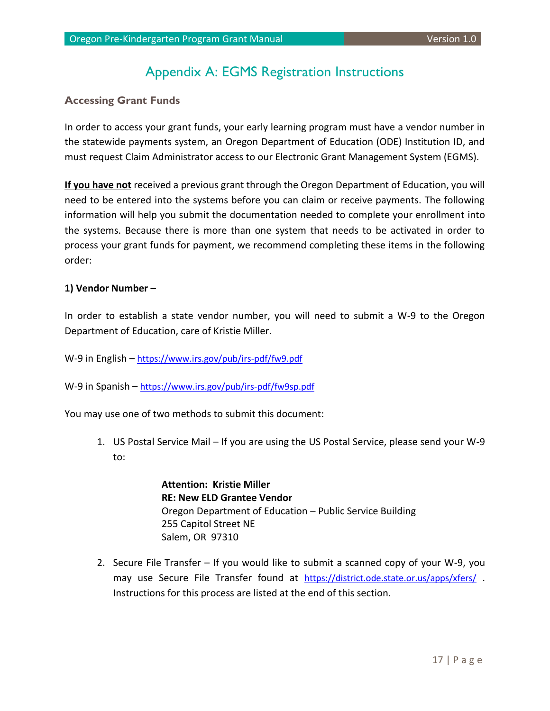### Appendix A: EGMS Registration Instructions

#### <span id="page-17-1"></span><span id="page-17-0"></span>**Accessing Grant Funds**

In order to access your grant funds, your early learning program must have a vendor number in the statewide payments system, an Oregon Department of Education (ODE) Institution ID, and must request Claim Administrator access to our Electronic Grant Management System (EGMS).

**If you have not** received a previous grant through the Oregon Department of Education, you will need to be entered into the systems before you can claim or receive payments. The following information will help you submit the documentation needed to complete your enrollment into the systems. Because there is more than one system that needs to be activated in order to process your grant funds for payment, we recommend completing these items in the following order:

#### **1) Vendor Number –**

In order to establish a state vendor number, you will need to submit a W-9 to the Oregon Department of Education, care of Kristie Miller.

W-9 in English – <https://www.irs.gov/pub/irs-pdf/fw9.pdf>

W-9 in Spanish – <https://www.irs.gov/pub/irs-pdf/fw9sp.pdf>

You may use one of two methods to submit this document:

1. US Postal Service Mail – If you are using the US Postal Service, please send your W-9 to:

> **Attention: Kristie Miller RE: New ELD Grantee Vendor** Oregon Department of Education – Public Service Building 255 Capitol Street NE Salem, OR 97310

2. Secure File Transfer – If you would like to submit a scanned copy of your W-9, you may use Secure File Transfer found at <https://district.ode.state.or.us/apps/xfers/> . Instructions for this process are listed at the end of this section.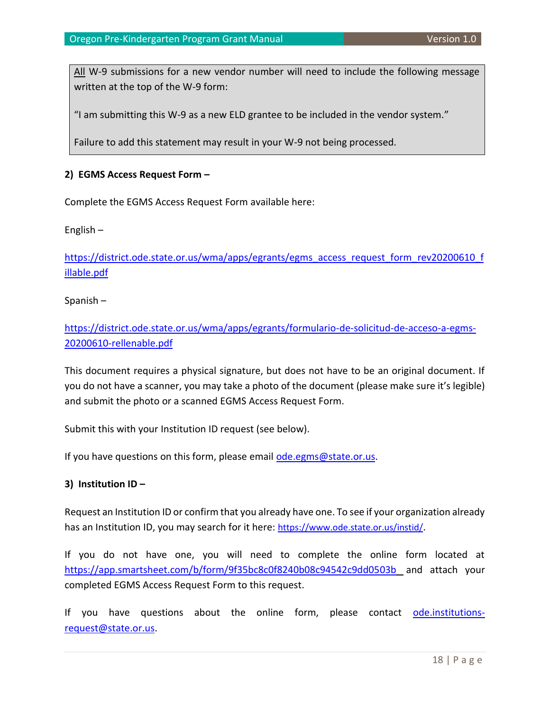All W-9 submissions for a new vendor number will need to include the following message written at the top of the W-9 form:

"I am submitting this W-9 as a new ELD grantee to be included in the vendor system."

Failure to add this statement may result in your W-9 not being processed.

#### **2) EGMS Access Request Form –**

Complete the EGMS Access Request Form available here:

English –

[https://district.ode.state.or.us/wma/apps/egrants/egms\\_access\\_request\\_form\\_rev20200610\\_f](https://district.ode.state.or.us/wma/apps/egrants/egms_access_request_form_rev20200610_fillable.pdf) [illable.pdf](https://district.ode.state.or.us/wma/apps/egrants/egms_access_request_form_rev20200610_fillable.pdf)

Spanish –

[https://district.ode.state.or.us/wma/apps/egrants/formulario-de-solicitud-de-acceso-a-egms-](https://district.ode.state.or.us/wma/apps/egrants/formulario-de-solicitud-de-acceso-a-egms-20200610-rellenable.pdf)[20200610-rellenable.pdf](https://district.ode.state.or.us/wma/apps/egrants/formulario-de-solicitud-de-acceso-a-egms-20200610-rellenable.pdf)

This document requires a physical signature, but does not have to be an original document. If you do not have a scanner, you may take a photo of the document (please make sure it's legible) and submit the photo or a scanned EGMS Access Request Form.

Submit this with your Institution ID request (see below).

If you have questions on this form, please email [ode.egms@state.or.us.](mailto:ode.egms@state.or.us)

#### **3) Institution ID –**

Request an Institution ID or confirm that you already have one. To see if your organization already has an Institution ID, you may search for it here: <https://www.ode.state.or.us/instid/>.

If you do not have one, you will need to complete the online form located at <https://app.smartsheet.com/b/form/9f35bc8c0f8240b08c94542c9dd0503b> and attach your completed EGMS Access Request Form to this request.

If you have questions about the online form, please contact [ode.institutions](mailto:ode.institutions-request@state.or.us)[request@state.or.us.](mailto:ode.institutions-request@state.or.us)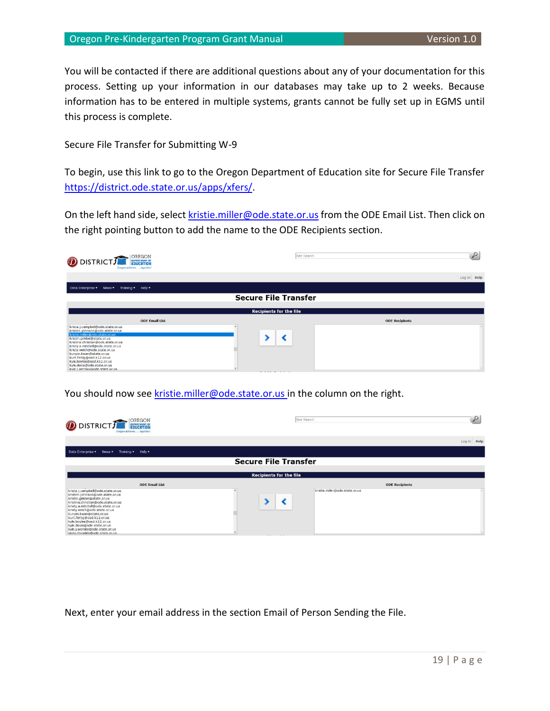#### Oregon Pre-Kindergarten Program Grant Manual Version 1.0

You will be contacted if there are additional questions about any of your documentation for this process. Setting up your information in our databases may take up to 2 weeks. Because information has to be entered in multiple systems, grants cannot be fully set up in EGMS until this process is complete.

Secure File Transfer for Submitting W-9

To begin, use this link to go to the Oregon Department of Education site for Secure File Transfer [https://district.ode.state.or.us/apps/xfers/.](https://district.ode.state.or.us/apps/xfers/)

On the left hand side, selec[t kristie.miller@ode.state.or.us](mailto:kristie.miller@ode.state.or.us) from the ODE Email List. Then click on the right pointing button to add the name to the ODE Recipients section.

| OREGON<br>DISTRICT FE EDUCATION<br>Oregon achieves together!                                                                                                                                                                                                                                                                                                                                        | Site Search                    | O                     |
|-----------------------------------------------------------------------------------------------------------------------------------------------------------------------------------------------------------------------------------------------------------------------------------------------------------------------------------------------------------------------------------------------------|--------------------------------|-----------------------|
|                                                                                                                                                                                                                                                                                                                                                                                                     |                                | Log In Help           |
| News $\blacktriangledown$<br>Training $\blacktriangledown$ Help $\blacktriangledown$<br>Data Enterprise ▼                                                                                                                                                                                                                                                                                           |                                |                       |
|                                                                                                                                                                                                                                                                                                                                                                                                     | <b>Secure File Transfer</b>    |                       |
|                                                                                                                                                                                                                                                                                                                                                                                                     | <b>Recipients for the file</b> |                       |
| <b>ODE Email List</b>                                                                                                                                                                                                                                                                                                                                                                               |                                | <b>ODE Recipients</b> |
| krista.j.campbell@ode.state.or.us<br>kristen.johnson@ode.state.or.us<br>kristie.miller@ode.state.or.us<br>kristin.gimbel@state.or.us<br>kristina.christian@ode.state.or.us<br>kristy.a.mitchell@ode.state.or.us<br>kristy.welch@ode.state.or.us<br>kunyin.kwan@state.or.us<br>kurt.fertig@osd.k12.or.us<br>kyle.boyles@osd.k12.or.us<br>kyle.davis@ode.state.or.us<br>kyle.t.weraky@ode.state.or.us | .                              |                       |

You should now see [kristie.miller@ode.state.or.us](mailto:kristie.miller@ode.state.or.us) in the column on the right.

| OREGON<br>DISTRICT FOUCATION<br>Oregon achieves  tagether!                                                                                                                                                                                                                                                                                                                                         |                                    | Site Search                    | یر          |
|----------------------------------------------------------------------------------------------------------------------------------------------------------------------------------------------------------------------------------------------------------------------------------------------------------------------------------------------------------------------------------------------------|------------------------------------|--------------------------------|-------------|
|                                                                                                                                                                                                                                                                                                                                                                                                    |                                    |                                | Log In Help |
| Data Enterprise<br>News <b>v</b><br>Training $\blacktriangledown$ Help $\blacktriangledown$                                                                                                                                                                                                                                                                                                        |                                    |                                |             |
|                                                                                                                                                                                                                                                                                                                                                                                                    | <b>Secure File Transfer</b>        |                                |             |
|                                                                                                                                                                                                                                                                                                                                                                                                    | <b>Recipients for the file</b>     |                                |             |
| <b>ODE Email List</b>                                                                                                                                                                                                                                                                                                                                                                              |                                    | <b>ODE Recipients</b>          |             |
| krista.j.campbell@ode.state.or.us<br>kristen.johnson@ode.state.or.us<br>kristin.gimbel@state.or.us<br>kristina.christian@ode.state.or.us<br>kristy.a.mitchell@ode.state.or.us<br>kristy.welch@ode.state.or.us<br>kunyin.kwan@state.or.us<br>kurt.fertig@osd.k12.or.us<br>kyle.boyles@osd.k12.or.us<br>kyle.davis@ode.state.or.us<br>kyle.j.weraky@ode.state.or.us<br>lacey.rhoades@ode.state.or.us | $\sim$ $\sim$ $\sim$ $\sim$ $\sim$ | kristie.miller@ode.state.or.us |             |

Next, enter your email address in the section Email of Person Sending the File.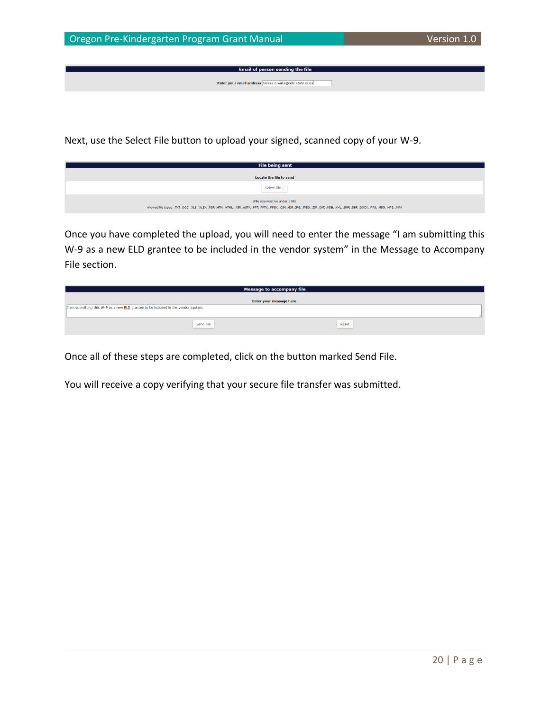Email of person sending the file Enter your email address: teresa.n.waite@ode.state.or.us

Next, use the Select File button to upload your signed, scanned copy of your W-9.

| <b>File being sent</b>                                                                                                                                                                                                        |  |  |  |  |
|-------------------------------------------------------------------------------------------------------------------------------------------------------------------------------------------------------------------------------|--|--|--|--|
| Locate the file to send                                                                                                                                                                                                       |  |  |  |  |
| Select File                                                                                                                                                                                                                   |  |  |  |  |
| (File size must be under 1 GB)<br>Allowed file types: .TXT, .DOC, .XLS, .XLSX, .PDF, .HTM, .HTML, .ASP, .ASPX, .PPT, .PPTX, .PPSX, .CSV, .GIF, .JPG, .JPEG, .ZIP, .DAT, .MDB, .XML, .SMF, .DBF, .DOCX, .PPS, .MSG, .MP3, .MP4 |  |  |  |  |

Once you have completed the upload, you will need to enter the message "I am submitting this W-9 as a new ELD grantee to be included in the vendor system" in the Message to Accompany File section.

| <b>Message to accompany file</b>                                                   |       |  |  |  |
|------------------------------------------------------------------------------------|-------|--|--|--|
| <b>Enter your message here</b>                                                     |       |  |  |  |
| I am submitting this W-9 as a new ELD grantee to be included in the vendor system. |       |  |  |  |
|                                                                                    |       |  |  |  |
| Send File                                                                          | Reset |  |  |  |
|                                                                                    |       |  |  |  |

Once all of these steps are completed, click on the button marked Send File.

You will receive a copy verifying that your secure file transfer was submitted.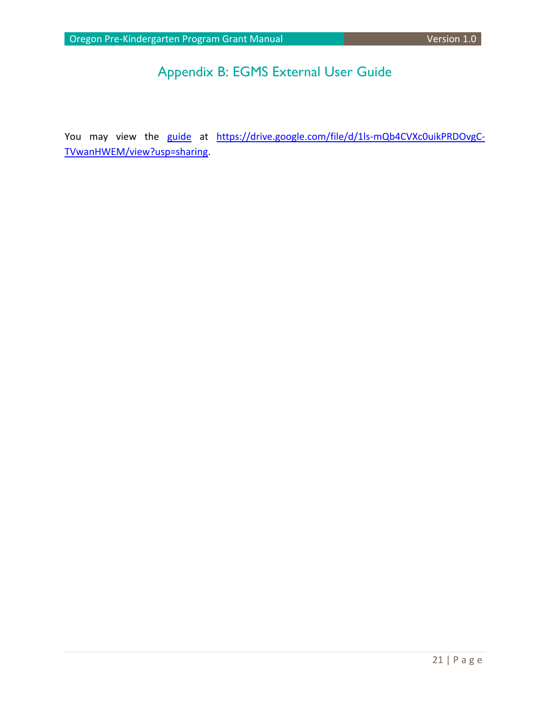## Appendix B: EGMS External User Guide

<span id="page-21-0"></span>You may view the [guide](https://drive.google.com/file/d/1ls-mQb4CVXc0uikPRDOvgC-TVwanHWEM/view?usp=sharing) at [https://drive.google.com/file/d/1ls-mQb4CVXc0uikPRDOvgC-](https://drive.google.com/file/d/1ls-mQb4CVXc0uikPRDOvgC-TVwanHWEM/view?usp=sharing)[TVwanHWEM/view?usp=sharing.](https://drive.google.com/file/d/1ls-mQb4CVXc0uikPRDOvgC-TVwanHWEM/view?usp=sharing)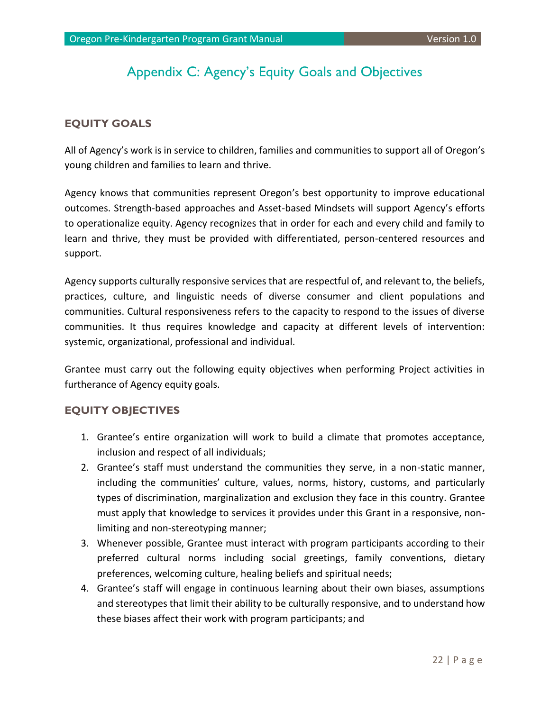### Appendix C: Agency's Equity Goals and Objectives

#### <span id="page-22-1"></span><span id="page-22-0"></span>**EQUITY GOALS**

All of Agency's work is in service to children, families and communities to support all of Oregon's young children and families to learn and thrive.

Agency knows that communities represent Oregon's best opportunity to improve educational outcomes. Strength-based approaches and Asset-based Mindsets will support Agency's efforts to operationalize equity. Agency recognizes that in order for each and every child and family to learn and thrive, they must be provided with differentiated, person-centered resources and support.

Agency supports culturally responsive services that are respectful of, and relevant to, the beliefs, practices, culture, and linguistic needs of diverse consumer and client populations and communities. Cultural responsiveness refers to the capacity to respond to the issues of diverse communities. It thus requires knowledge and capacity at different levels of intervention: systemic, organizational, professional and individual.

Grantee must carry out the following equity objectives when performing Project activities in furtherance of Agency equity goals.

#### <span id="page-22-2"></span>**EQUITY OBJECTIVES**

- 1. Grantee's entire organization will work to build a climate that promotes acceptance, inclusion and respect of all individuals;
- 2. Grantee's staff must understand the communities they serve, in a non-static manner, including the communities' culture, values, norms, history, customs, and particularly types of discrimination, marginalization and exclusion they face in this country. Grantee must apply that knowledge to services it provides under this Grant in a responsive, nonlimiting and non-stereotyping manner;
- 3. Whenever possible, Grantee must interact with program participants according to their preferred cultural norms including social greetings, family conventions, dietary preferences, welcoming culture, healing beliefs and spiritual needs;
- 4. Grantee's staff will engage in continuous learning about their own biases, assumptions and stereotypes that limit their ability to be culturally responsive, and to understand how these biases affect their work with program participants; and